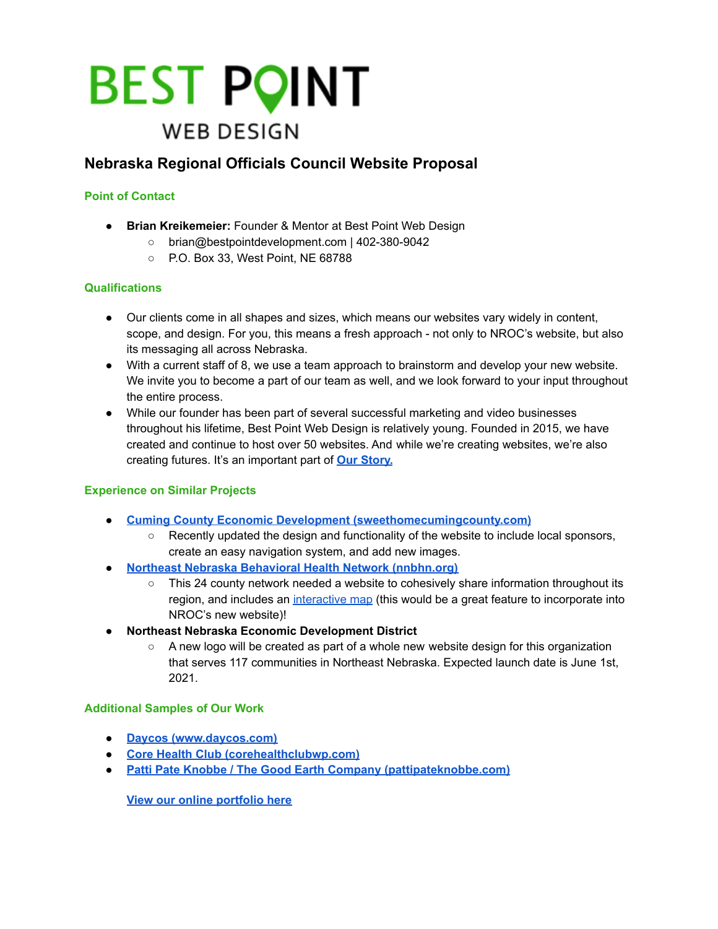# **BEST POINT WEB DESIGN**

### **Nebraska Regional Officials Council Website Proposal**

#### **Point of Contact**

- **Brian Kreikemeier:** Founder & Mentor at Best Point Web Design
	- brian@bestpointdevelopment.com | 402-380-9042
	- P.O. Box 33, West Point, NE 68788

#### **Qualifications**

- Our clients come in all shapes and sizes, which means our websites vary widely in content, scope, and design. For you, this means a fresh approach - not only to NROC's website, but also its messaging all across Nebraska.
- With a current staff of 8, we use a team approach to brainstorm and develop your new website. We invite you to become a part of our team as well, and we look forward to your input throughout the entire process.
- While our founder has been part of several successful marketing and video businesses throughout his lifetime, Best Point Web Design is relatively young. Founded in 2015, we have created and continue to host over 50 websites. And while we're creating websites, we're also creating futures. It's an important part of **Our [Story.](https://bestpointwebdesign.com/our-story/)**

#### **Experience on Similar Projects**

- **Cuming County Economic [Development](https://sweethomecumingcounty.com/) (sweethomecumingcounty.com)**
	- Recently updated the design and functionality of the website to include local sponsors, create an easy navigation system, and add new images.
- **Northeast Nebraska [Behavioral](https://nnbhn.org/) Health Network (nnbhn.org)**
	- This 24 county network needed a website to cohesively share information throughout its region, and includes an [interactive](https://nnbhn.org/service-area/) map (this would be a great feature to incorporate into NROC's new website)!
- **Northeast Nebraska Economic Development District**
	- A new logo will be created as part of a whole new website design for this organization that serves 117 communities in Northeast Nebraska. Expected launch date is June 1st, 2021.

#### **Additional Samples of Our Work**

- **[Daycos](https://daycos.com/) (www.daycos.com)**
- **Core [Health](http://corehealthclubwp.com/) Club (corehealthclubwp.com)**
- **Patti Pate Knobbe / The Good Earth [Company](https://pattipateknobbe.com/) (pattipateknobbe.com)**

**View our online [portfolio](https://bestpointwebdesign.com/our-websites/) here**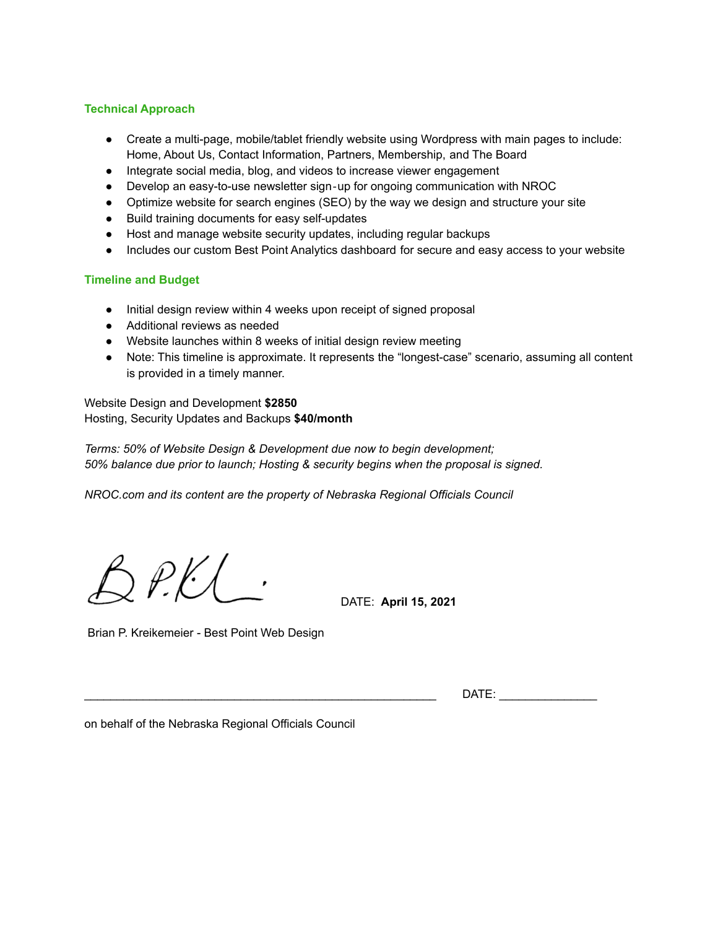#### **Technical Approach**

- Create a multi-page, mobile/tablet friendly website using Wordpress with main pages to include: Home, About Us, Contact Information, Partners, Membership, and The Board
- Integrate social media, blog, and videos to increase viewer engagement
- Develop an easy-to-use newsletter sign-up for ongoing communication with NROC
- Optimize website for search engines (SEO) by the way we design and structure your site
- Build training documents for easy self-updates
- Host and manage website security updates, including regular backups
- Includes our custom Best Point Analytics dashboard for secure and easy access to your website

#### **Timeline and Budget**

- Initial design review within 4 weeks upon receipt of signed proposal
- Additional reviews as needed
- Website launches within 8 weeks of initial design review meeting
- Note: This timeline is approximate. It represents the "longest-case" scenario, assuming all content is provided in a timely manner.

Website Design and Development **\$2850** Hosting, Security Updates and Backups **\$40/month**

*Terms: 50% of Website Design & Development due now to begin development; 50% balance due prior to launch; Hosting & security begins when the proposal is signed.*

*NROC.com and its content are the property of Nebraska Regional Officials Council*

r P.KL

DATE: **April 15, 2021**

Brian P. Kreikemeier - Best Point Web Design

\_\_\_\_\_\_\_\_\_\_\_\_\_\_\_\_\_\_\_\_\_\_\_\_\_\_\_\_\_\_\_\_\_\_\_\_\_\_\_\_\_\_\_\_\_\_\_\_\_\_\_\_\_\_ DATE: \_\_\_\_\_\_\_\_\_\_\_\_\_\_\_

on behalf of the Nebraska Regional Officials Council